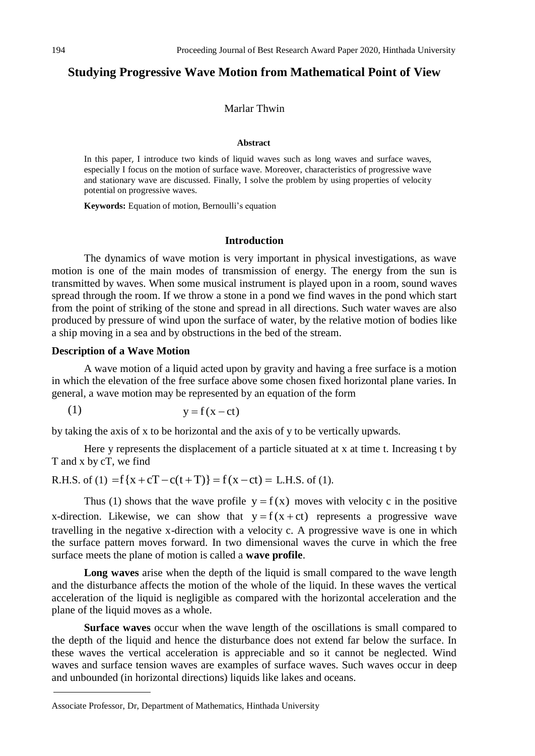# **Studying Progressive Wave Motion from Mathematical Point of View**

# Marlar Thwin

#### **Abstract**

In this paper, I introduce two kinds of liquid waves such as long waves and surface waves, especially I focus on the motion of surface wave. Moreover, characteristics of progressive wave and stationary wave are discussed. Finally, I solve the problem by using properties of velocity potential on progressive waves.

**Keywords:** Equation of motion, Bernoulli's equation

# **Introduction**

The dynamics of wave motion is very important in physical investigations, as wave motion is one of the main modes of transmission of energy. The energy from the sun is transmitted by waves. When some musical instrument is played upon in a room, sound waves spread through the room. If we throw a stone in a pond we find waves in the pond which start from the point of striking of the stone and spread in all directions. Such water waves are also produced by pressure of wind upon the surface of water, by the relative motion of bodies like a ship moving in a sea and by obstructions in the bed of the stream.

# **Description of a Wave Motion**

A wave motion of a liquid acted upon by gravity and having a free surface is a motion in which the elevation of the free surface above some chosen fixed horizontal plane varies. In general, a wave motion may be represented by an equation of the form

 $y = f(x - ct)$ (1)

by taking the axis of x to be horizontal and the axis of y to be vertically upwards.

Here y represents the displacement of a particle situated at x at time t. Increasing t by T and x by cT, we find

T and x by cT, we find<br>R.H.S. of (1)  $=f{x + cT - c(t + T)} = f(x - ct) = L.H.S.$  of (1).

Thus (1) shows that the wave profile  $y = f(x)$  moves with velocity c in the positive x-direction. Likewise, we can show that  $y = f(x + ct)$  represents a progressive wave travelling in the negative x-direction with a velocity c. A progressive wave is one in which the surface pattern moves forward. In two dimensional waves the curve in which the free surface meets the plane of motion is called a **wave profile**.

**Long waves** arise when the depth of the liquid is small compared to the wave length and the disturbance affects the motion of the whole of the liquid. In these waves the vertical acceleration of the liquid is negligible as compared with the horizontal acceleration and the plane of the liquid moves as a whole.

**Surface waves** occur when the wave length of the oscillations is small compared to the depth of the liquid and hence the disturbance does not extend far below the surface. In these waves the vertical acceleration is appreciable and so it cannot be neglected. Wind waves and surface tension waves are examples of surface waves. Such waves occur in deep and unbounded (in horizontal directions) liquids like lakes and oceans.

Associate Professor, Dr, Department of Mathematics, Hinthada University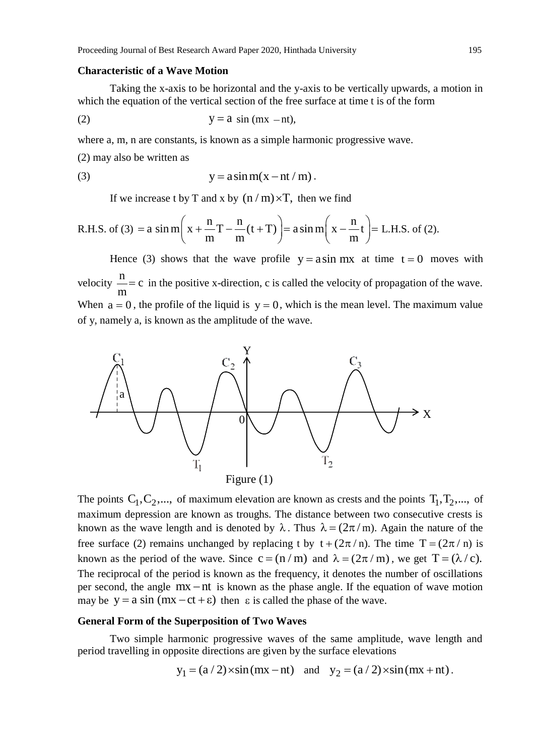### **Characteristic of a Wave Motion**

Taking the x-axis to be horizontal and the y-axis to be vertically upwards, a motion in which the equation of the vertical section of the free surface at time t is of the form

$$
y = a \sin (mx - nt),
$$

where a, m, n are constants, is known as a simple harmonic progressive wave.

(2) may also be written as

(3) 
$$
y = a \sin m(x - nt/m).
$$

If we increase t by T and x by 
$$
(n/m) \times T
$$
, then we find  
R.H.S. of (3) = a  $\sin m\left(x + \frac{n}{m}T - \frac{n}{m}(t+T)\right) = a \sin m\left(x - \frac{n}{m}t\right) = L.H.S. \text{ of (2).}$ 

Hence (3) shows that the wave profile  $y = a \sin mx$  at time  $t = 0$  moves with velocity  $\frac{n}{n}$ c m  $= c$  in the positive x-direction, c is called the velocity of propagation of the wave. When  $a = 0$ , the profile of the liquid is  $y = 0$ , which is the mean level. The maximum value of y, namely a, is known as the amplitude of the wave.



The points  $C_1, C_2, \dots$ , of maximum elevation are known as crests and the points  $T_1, T_2, \dots$ , of maximum depression are known as troughs. The distance between two consecutive crests is known as the wave length and is denoted by  $\lambda$ . Thus  $\lambda = (2\pi/m)$ . Again the nature of the free surface (2) remains unchanged by replacing t by  $t + (2\pi/n)$ . The time  $T = (2\pi/n)$  is known as the period of the wave. Since  $c = (n / m)$  and  $\lambda = (2\pi / m)$ , we get  $T = (\lambda / c)$ . The reciprocal of the period is known as the frequency, it denotes the number of oscillations per second, the angle  $mx - nt$  is known as the phase angle. If the equation of wave motion per second, the angle  $nx - nt$  is known as the phase angle. If the equal may be  $y = a \sin (mx - ct + \epsilon)$  then  $\epsilon$  is called the phase of the wave.

# **General Form of the Superposition of Two Waves**

Two simple harmonic progressive waves of the same amplitude, wave length and period travelling in opposite directions are given by the surface elevations

$$
y_1 = (a/2) \times \sin(mx - nt)
$$
 and  $y_2 = (a/2) \times \sin(mx + nt)$ .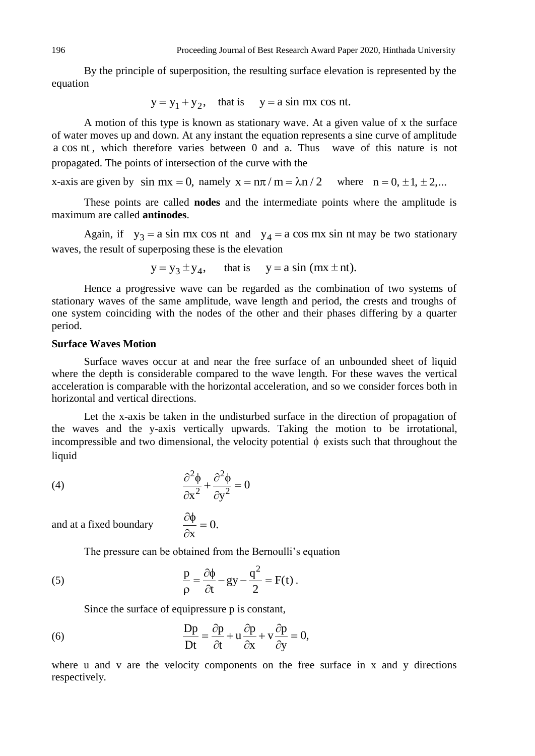By the principle of superposition, the resulting surface elevation is represented by the equation

$$
y = y_1 + y_2
$$
, that is  $y = a \sin mx \cos nt$ .

A motion of this type is known as stationary wave. At a given value of x the surface of water moves up and down. At any instant the equation represents a sine curve of amplitude a cos nt , which therefore varies between 0 and a. Thus wave of this nature is not propagated. The points of intersection of the curve with the

x-axis are given by  $\sin mx = 0$ , namely  $x = n\pi / m = \lambda n / 2$  where  $n = 0, \pm 1, \pm 2, ...$ 

These points are called **nodes** and the intermediate points where the amplitude is maximum are called **antinodes**.

Again, if  $y_3 = a \sin mx \cos nt$  and  $y_4 = a \cos mx \sin nt$  may be two stationary waves, the result of superposing these is the elevation

$$
y = y_3 \pm y_4
$$
, that is  $y = a \sin (mx \pm nt)$ .

Hence a progressive wave can be regarded as the combination of two systems of stationary waves of the same amplitude, wave length and period, the crests and troughs of one system coinciding with the nodes of the other and their phases differing by a quarter period.

# **Surface Waves Motion**

Surface waves occur at and near the free surface of an unbounded sheet of liquid where the depth is considerable compared to the wave length. For these waves the vertical acceleration is comparable with the horizontal acceleration, and so we consider forces both in horizontal and vertical directions.

Let the x-axis be taken in the undisturbed surface in the direction of propagation of the waves and the y-axis vertically upwards. Taking the motion to be irrotational, incompressible and two dimensional, the velocity potential  $\phi$  exists such that throughout the liquid

(4) 
$$
\frac{\partial^2 \phi}{\partial x^2} + \frac{\partial^2 \phi}{\partial y^2} = 0
$$

and at a fixed boundary  $\frac{\partial \phi}{\partial t} = 0$ .

The pressure can be obtained from the Bernoulli's equation

(5) 
$$
\frac{p}{\rho} = \frac{\partial \phi}{\partial t} - gy - \frac{q^2}{2} = F(t).
$$

Since the surface of equipressure p is constant,

x  $\partial \phi$  $=$ 

 $\partial$ 

(6) 
$$
\frac{Dp}{Dt} = \frac{\partial p}{\partial t} + u \frac{\partial p}{\partial x} + v \frac{\partial p}{\partial y} = 0,
$$

where u and v are the velocity components on the free surface in x and y directions respectively.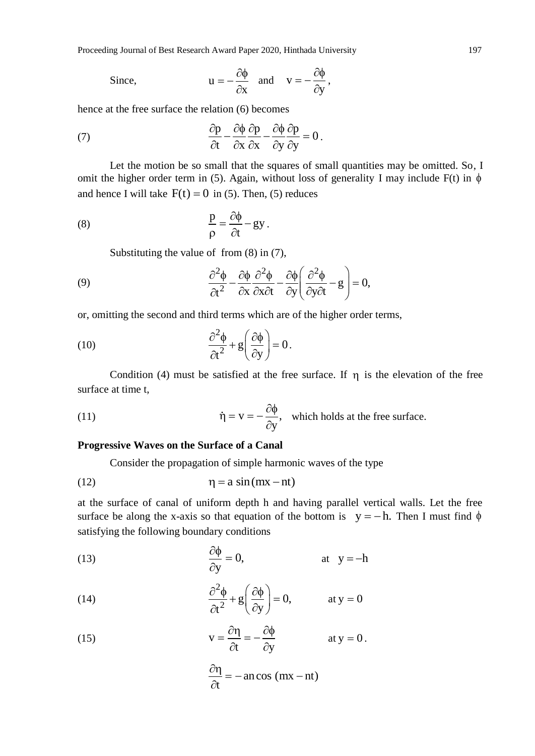Since, 
$$
u = -\frac{\partial \phi}{\partial x}
$$
 and  $v = -\frac{\partial \phi}{\partial y}$ ,

hence at the free surface the relation (6) becomes

(7) 
$$
\frac{\partial p}{\partial t} - \frac{\partial \phi}{\partial x} \frac{\partial p}{\partial x} - \frac{\partial \phi}{\partial y} \frac{\partial p}{\partial y} = 0.
$$

Let the motion be so small that the squares of small quantities may be omitted. So, I omit the higher order term in (5). Again, without loss of generality I may include  $F(t)$  in  $\phi$ and hence I will take  $F(t) = 0$  in (5). Then, (5) reduces

(8) 
$$
\frac{p}{\rho} = \frac{\partial \phi}{\partial t} - gy.
$$

Substituting the value of from (8) in (7),

Substituting the value of from (8) in (7),  
\n(9) 
$$
\frac{\partial^2 \phi}{\partial t^2} - \frac{\partial \phi}{\partial x} \frac{\partial^2 \phi}{\partial x \partial t} - \frac{\partial \phi}{\partial y} \left( \frac{\partial^2 \phi}{\partial y \partial t} - g \right) = 0,
$$

or, omitting the second and third terms which are of the higher order terms,

(10) 
$$
\frac{\partial^2 \phi}{\partial t^2} + g \left( \frac{\partial \phi}{\partial y} \right) = 0.
$$

Condition (4) must be satisfied at the free surface. If  $\eta$  is the elevation of the free surface at time t,

(11) 
$$
\dot{\eta} = v = -\frac{\partial \phi}{\partial y}, \text{ which holds at the free surface.}
$$

# **Progressive Waves on the Surface of a Canal**

Consider the propagation of simple harmonic waves of the type

(12) 
$$
\eta = a \sin(mx - nt)
$$

at the surface of canal of uniform depth h and having parallel vertical walls. Let the free surface be along the x-axis so that equation of the bottom is  $y = -h$ . Then I must find  $\phi$ satisfying the following boundary conditions

(13) 
$$
\frac{\partial \phi}{\partial y} = 0, \qquad \text{at } y = -h
$$

(14) 
$$
\frac{\partial^2 \phi}{\partial t^2} + g \left( \frac{\partial \phi}{\partial y} \right) = 0, \quad \text{at } y = 0
$$

(15) 
$$
v = \frac{\partial \eta}{\partial t} = -\frac{\partial \phi}{\partial y} \quad \text{at } y = 0.
$$

$$
\frac{\partial \eta}{\partial t} = -\text{ an cos } (mx - nt)
$$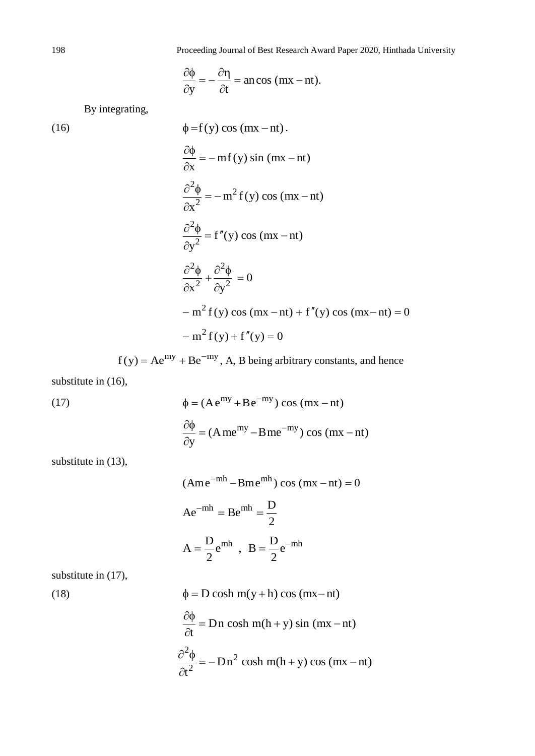$$
\frac{\partial \phi}{\partial y} = -\frac{\partial \eta}{\partial t} = \text{an} \cos{(\text{mx} - \text{nt})}.
$$

By integrating,

(16)  
\n
$$
\phi = f(y) \cos (mx - nt).
$$
\n
$$
\frac{\partial \phi}{\partial x} = -mf(y) \sin (mx - nt)
$$
\n
$$
\frac{\partial^2 \phi}{\partial x^2} = -m^2 f(y) \cos (mx - nt)
$$
\n
$$
\frac{\partial^2 \phi}{\partial y^2} = f''(y) \cos (mx - nt)
$$
\n
$$
\frac{\partial^2 \phi}{\partial x^2} + \frac{\partial^2 \phi}{\partial y^2} = 0
$$
\n
$$
-m^2 f(y) \cos (mx - nt) + f''(y) \cos (mx - nt) = 0
$$
\n
$$
-m^2 f(y) + f''(y) = 0
$$

 $f(y) = Ae^{my} + Be^{-my}$ , A, B being arbitrary constants, and hence

substitute in (16),

(17)  
\n
$$
\phi = (A e^{my} + B e^{-my}) \cos (mx - nt)
$$
\n
$$
\frac{\partial \phi}{\partial y} = (A me^{my} - B me^{-my}) \cos (mx - nt)
$$

substitute in  $(13)$ ,

$$
(\text{Ame}^{-\text{mh}} - \text{Bme}^{\text{mh}}) \cos{(\text{mx} - \text{nt})} = 0
$$

$$
\text{Ae}^{-\text{mh}} = \text{Be}^{\text{mh}} = \frac{\text{D}}{2}
$$

$$
\text{A} = \frac{\text{D}}{2} \text{e}^{\text{mh}} , \ \ \text{B} = \frac{\text{D}}{2} \text{e}^{-\text{mh}}
$$

substitute in  $(17)$ ,

substitute in (17),  
\n
$$
\phi = D \cosh m(y+h) \cos (mx-nt)
$$
\n
$$
\frac{\partial \phi}{\partial t} = Dn \cosh m(h+y) \sin (mx-nt)
$$
\n
$$
\frac{\partial^2 \phi}{\partial t^2} = -Dn^2 \cosh m(h+y) \cos (mx-nt)
$$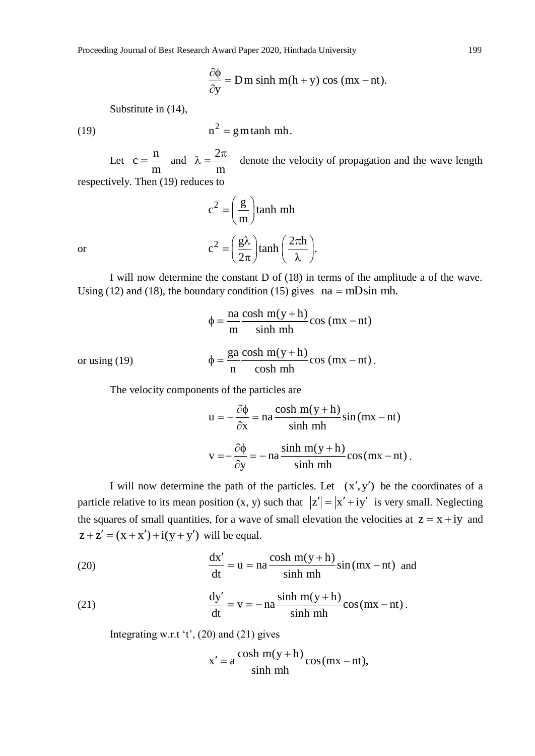$$
\frac{\partial \phi}{\partial y} = Dm \sinh m(h+y) \cos (mx - nt).
$$

Substitute in (14),

(19) 
$$
n^2 = g m \tanh m h.
$$

Let  $c = \frac{n}{n}$ c m  $=\frac{n}{\phantom{2}}$  and  $\lambda = \frac{2}{\phantom{2}}$ m  $\pi$  $\lambda = \frac{2\pi}{\pi}$  denote the velocity of propagation and the wave length respectively. Then (19) reduces to

$$
c^{2} = \left(\frac{g}{m}\right) \tanh mh
$$

$$
c^{2} = \left(\frac{g\lambda}{2\pi}\right) \tanh\left(\frac{2\pi h}{\lambda}\right).
$$

or

I will now determine the constant D of (18) in terms of the amplitude a of the wave. Using (12) and (18), the boundary condition (15) gives  $na = mD\sin mh$ .

$$
\phi = \frac{\text{na } \cosh m(y + h)}{\text{m} \sinh mh} \cos (mx - nt)
$$

or using (19) 
$$
\phi = \frac{ga}{n} \frac{\cosh m(y+h)}{\cosh mh} \cos (mx-nt).
$$

The velocity components of the particles are  
\n
$$
u = -\frac{\partial \phi}{\partial x} = na \frac{\cosh m(y+h)}{\sinh mh} \sin (mx - nt)
$$
\n
$$
v = -\frac{\partial \phi}{\partial y} = -na \frac{\sinh m(y+h)}{\sinh mh} \cos (mx - nt).
$$

I will now determine the path of the particles. Let  $(x', y')$  be the coordinates of a particle relative to its mean position  $(x, y)$  such that  $|z'| = |x' + iy'|$  is very small. Neglecting the squares of small quantities, for a wave of small elevation the velocities at  $z = x + iy$  and  $z + z' = (x + x') + i(y + y')$  will be equal.

$$
z + z = (x + x) + i(y + y)
$$
 will be equal.  
(20)  

$$
\frac{dx'}{dt} = u = na \frac{\cosh m(y + h)}{\sinh mh} \sin (mx - nt)
$$
 and

(21) 
$$
\frac{dy'}{dt} = v = -na \frac{\sinh m(y+h)}{\sinh mh} \cos(mx-nt).
$$

Integrating w.r.t 't',  $(20)$  and  $(21)$  gives

$$
x' = a \frac{\cosh m(y+h)}{\sinh mh} \cos(mx-nt),
$$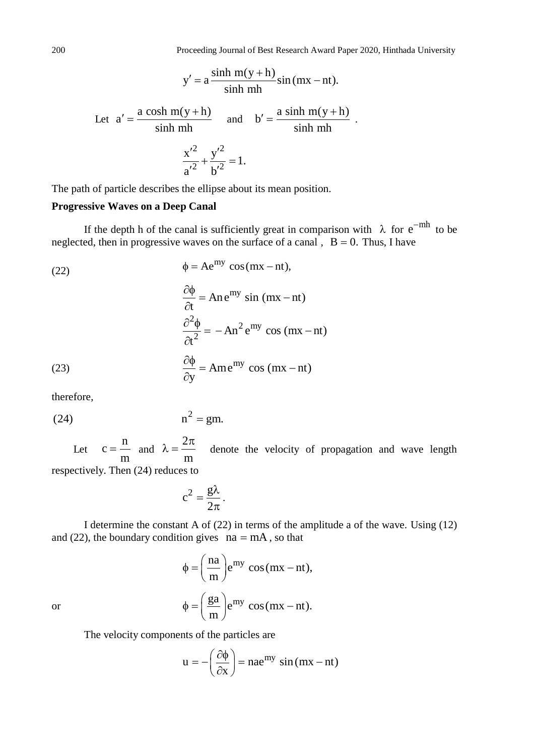$$
y' = a \frac{\sinh m(y+h)}{\sinh mh} \sin (mx - nt).
$$

Let 
$$
a' = \frac{a \cosh m(y+h)}{\sinh mh}
$$
 and  $b' = \frac{a \sinh m(y+h)}{\sinh mh}$ .  

$$
\frac{x'^2}{a'^2} + \frac{y'^2}{b'^2} = 1.
$$

The path of particle describes the ellipse about its mean position.

# **Progressive Waves on a Deep Canal**

If the depth h of the canal is sufficiently great in comparison with  $\lambda$  for  $e^{-mh}$  to be neglected, then in progressive waves on the surface of a canal,  $B = 0$ . Thus, I have

(22)  
\n
$$
\phi = Ae^{my} \cos(mx - nt),
$$
\n
$$
\frac{\partial \phi}{\partial t} = An e^{my} \sin(mx - nt)
$$
\n
$$
\frac{\partial^2 \phi}{\partial t^2} = -An^2 e^{my} \cos(mx - nt)
$$
\n(23)  
\n
$$
\frac{\partial \phi}{\partial y} = Ame^{my} \cos(mx - nt)
$$

therefore,

(24) 
$$
n^2 = gm.
$$

Let n c m  $=$   $\frac{1}{2}$  and 2 m  $\pi$  $\lambda = \frac{2\pi}{\pi}$  denote the velocity of propagation and wave length

respectively. Then (24) reduces to

$$
c^2 = \frac{g\lambda}{2\pi}.
$$

I determine the constant A of (22) in terms of the amplitude a of the wave. Using (12) and (22), the boundary condition gives  $na = mA$ , so that

$$
\phi = \left(\frac{\text{na}}{\text{m}}\right) \text{e}^{\text{my}} \cos(\text{mx} - \text{nt}),
$$

$$
\phi = \left(\frac{\text{ga}}{\text{m}}\right) \text{e}^{\text{my}} \cos(\text{mx} - \text{nt}).
$$

or

The velocity components of the particles are<br> $u = -\left(\frac{\partial \phi}{\partial r}\right) = nae^{my}$ 

$$
u = -\left(\frac{\partial \phi}{\partial x}\right) = nae^{my} \sin(mx - nt)
$$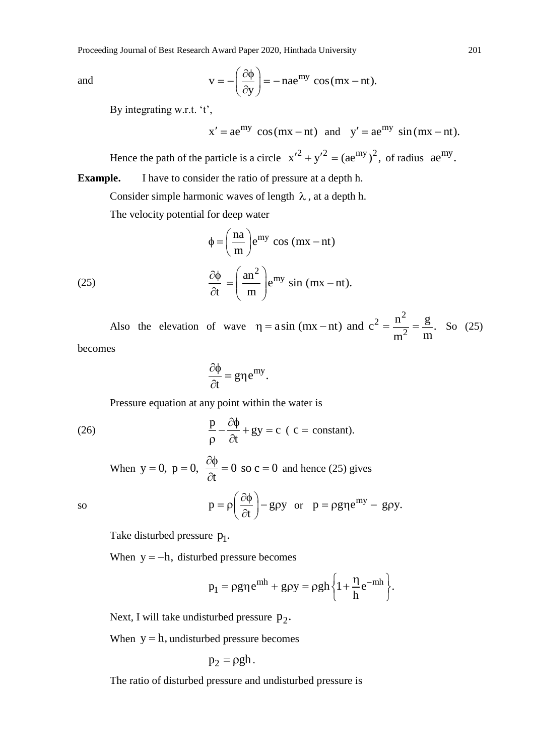and

$$
v = -\left(\frac{\partial \phi}{\partial y}\right) = -na e^{my} \cos(mx - nt).
$$

By integrating w.r.t. 't',

$$
x' = ae^{my} cos(mx - nt)
$$
 and  $y' = ae^{my} sin(mx - nt)$ .

Hence the path of the particle is a circle  $x'^2 + y'^2 = (ae^{my})^2$ , of radius  $ae^{my}$ .

**Example.** I have to consider the ratio of pressure at a depth h.

Consider simple harmonic waves of length  $\lambda$ , at a depth h.

The velocity potential for deep water

(25) 
$$
\phi = \left(\frac{na}{m}\right) e^{my} \cos (mx - nt)
$$

$$
\frac{\partial \phi}{\partial t} = \left(\frac{an^2}{m}\right) e^{my} \sin (mx - nt).
$$

Also the elevation of wave 2 2  $\eta = a \sin (mx - nt)$  and  $c^2 = \frac{n^2}{m^2} = \frac{g}{m}$ . So (25)

becomes

$$
\frac{\partial \phi}{\partial t} = g \eta e^{my}.
$$

Pressure equation at any point within the water is

(26) 
$$
\frac{p}{\rho} - \frac{\partial \phi}{\partial t} + gy = c \quad (c = constant).
$$

When 
$$
y = 0
$$
,  $p = 0$ ,  $\frac{\partial \phi}{\partial t} = 0$  so  $c = 0$  and hence (25) gives  
\n
$$
p = \rho \left(\frac{\partial \phi}{\partial t}\right) - g\rho y \text{ or } p = \rho g \rho e^{my} - g\rho y.
$$

so

Take disturbed pressure  $p_1$ .

When  $y = -h$ , disturbed pressure becomes

ed pressure becomes  
\n
$$
p_1 = \rho g \eta e^{mh} + g \rho y = \rho g h \left\{ 1 + \frac{\eta}{h} e^{-mh} \right\}.
$$

Next, I will take undisturbed pressure  $p_2$ .

When  $y = h$ , undisturbed pressure becomes

$$
p_2 = \rho g h.
$$

The ratio of disturbed pressure and undisturbed pressure is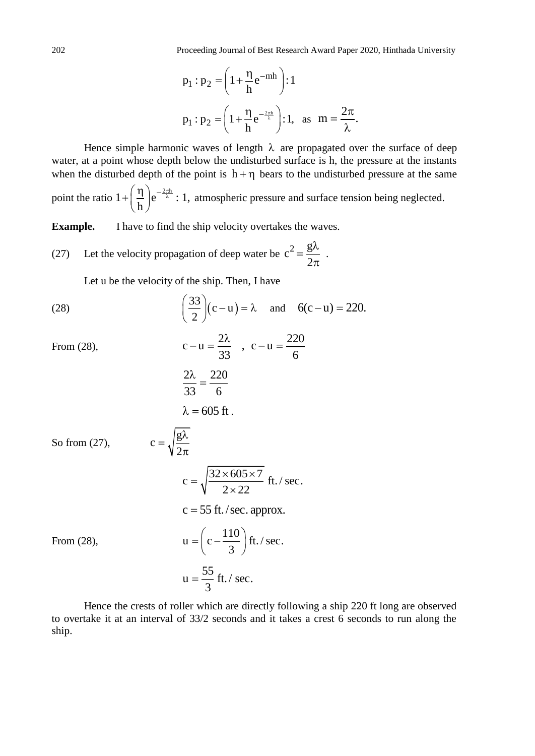$$
p_1 : p_2 = \left(1 + \frac{\eta}{h} e^{-mh}\right) : 1
$$
  

$$
p_1 : p_2 = \left(1 + \frac{\eta}{h} e^{-\frac{2\pi h}{\lambda}}\right) : 1, \text{ as } m = \frac{2\pi}{\lambda}.
$$

Hence simple harmonic waves of length  $\lambda$  are propagated over the surface of deep water, at a point whose depth below the undisturbed surface is h, the pressure at the instants when the disturbed depth of the point is  $h + \eta$  bears to the undisturbed pressure at the same point the ratio  $1 + \left(\frac{\eta}{\lambda}\right) e^{-\frac{2\pi h}{\lambda}}$ : 1, h  $\left(\frac{\eta}{2}\right)_{\mathbf{e}}\left(-\frac{2\pi}{\lambda}\right)$  $+\left(\frac{1}{h}\right)e^{-\frac{2h}{\lambda}}$ : 1, atmospheric pressure and surface tension being neglected.

**Example.** I have to find the ship velocity overtakes the waves.

(27) Let the velocity propagation of deep water be 
$$
c^2 = \frac{g\lambda}{2\pi}
$$
.

Let u be the velocity of the ship. Then, I have

g

2 λ

 $\pi$ 

(28) 
$$
\left(\frac{33}{2}\right)(c-u) = \lambda
$$
 and  $6(c-u) = 220$ .  
From (28)  $c-u = \frac{2\lambda}{c-u} = \frac{220}{c-u} = \frac{220}{20}$ 

From (28),

$$
c - u = \frac{2\lambda}{33} \quad , \quad c - u = \frac{22\lambda}{6}
$$

$$
\frac{2\lambda}{33} = \frac{220}{6}
$$

$$
\lambda = 605 \text{ ft}.
$$

So from (27),

$$
c = \sqrt{\frac{32 \times 605 \times 7}{2 \times 22}}
$$
 ft./ sec.  

$$
c = 55
$$
 ft./sec. approx.

3

From (28),  $u = \left(c - \frac{110}{2}\right)$  ft. / sec. 3  $=\left(c-\frac{110}{3}\right)$ ft.  $u = \frac{55}{3}$  ft. / sec.  $=$ 

c

 $=$ 

Hence the crests of roller which are directly following a ship 220 ft long are observed to overtake it at an interval of 33/2 seconds and it takes a crest 6 seconds to run along the ship.